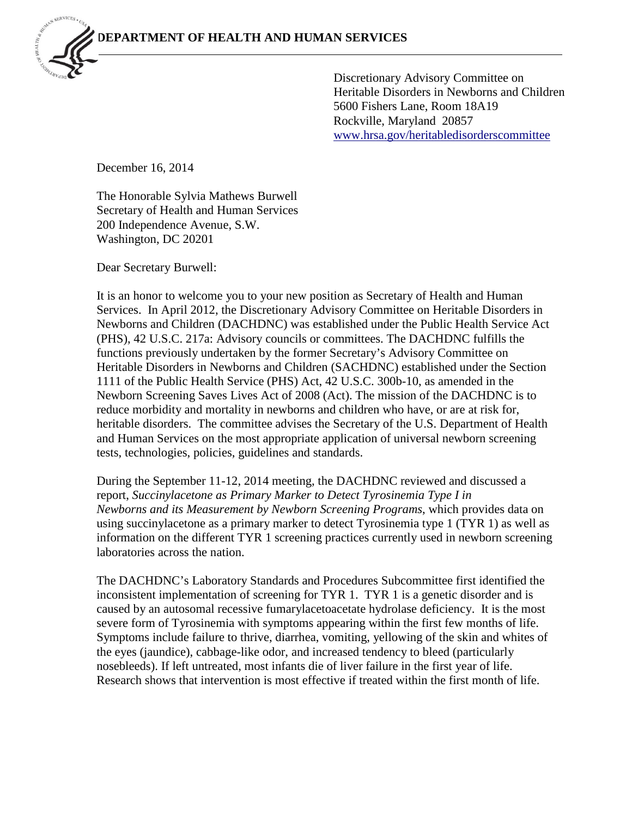Discretionary Advisory Committee on Heritable Disorders in Newborns and Children 5600 Fishers Lane, Room 18A19 Rockville, Maryland 20857 [www.hrsa.gov/heritabledisorderscommittee](http://www.hrsa.gov/heritabledisorderscommittee)

December 16, 2014

The Honorable Sylvia Mathews Burwell Secretary of Health and Human Services 200 Independence Avenue, S.W. Washington, DC 20201

Dear Secretary Burwell:

It is an honor to welcome you to your new position as Secretary of Health and Human Services. In April 2012, the Discretionary Advisory Committee on Heritable Disorders in Newborns and Children (DACHDNC) was established under the Public Health Service Act (PHS), 42 U.S.C. 217a: Advisory councils or committees. The DACHDNC fulfills the functions previously undertaken by the former Secretary's Advisory Committee on Heritable Disorders in Newborns and Children (SACHDNC) established under the Section 1111 of the Public Health Service (PHS) Act, 42 U.S.C. 300b-10, as amended in the Newborn Screening Saves Lives Act of 2008 (Act). The mission of the DACHDNC is to reduce morbidity and mortality in newborns and children who have, or are at risk for, heritable disorders. The committee advises the Secretary of the U.S. Department of Health and Human Services on the most appropriate application of universal newborn screening tests, technologies, policies, guidelines and standards.

During the September 11-12, 2014 meeting, the DACHDNC reviewed and discussed a report, *Succinylacetone as Primary Marker to Detect Tyrosinemia Type I in Newborns and its Measurement by Newborn Screening Programs*, which provides data on using succinylacetone as a primary marker to detect Tyrosinemia type 1 (TYR 1) as well as information on the different TYR 1 screening practices currently used in newborn screening laboratories across the nation.

The DACHDNC's Laboratory Standards and Procedures Subcommittee first identified the inconsistent implementation of screening for TYR 1. TYR 1 is a genetic disorder and is caused by an autosomal recessive fumarylacetoacetate hydrolase deficiency. It is the most severe form of Tyrosinemia with symptoms appearing within the first few months of life. Symptoms include failure to thrive, diarrhea, vomiting, yellowing of the skin and whites of the eyes (jaundice), cabbage-like odor, and increased tendency to bleed (particularly nosebleeds). If left untreated, most infants die of liver failure in the first year of life. Research shows that intervention is most effective if treated within the first month of life.